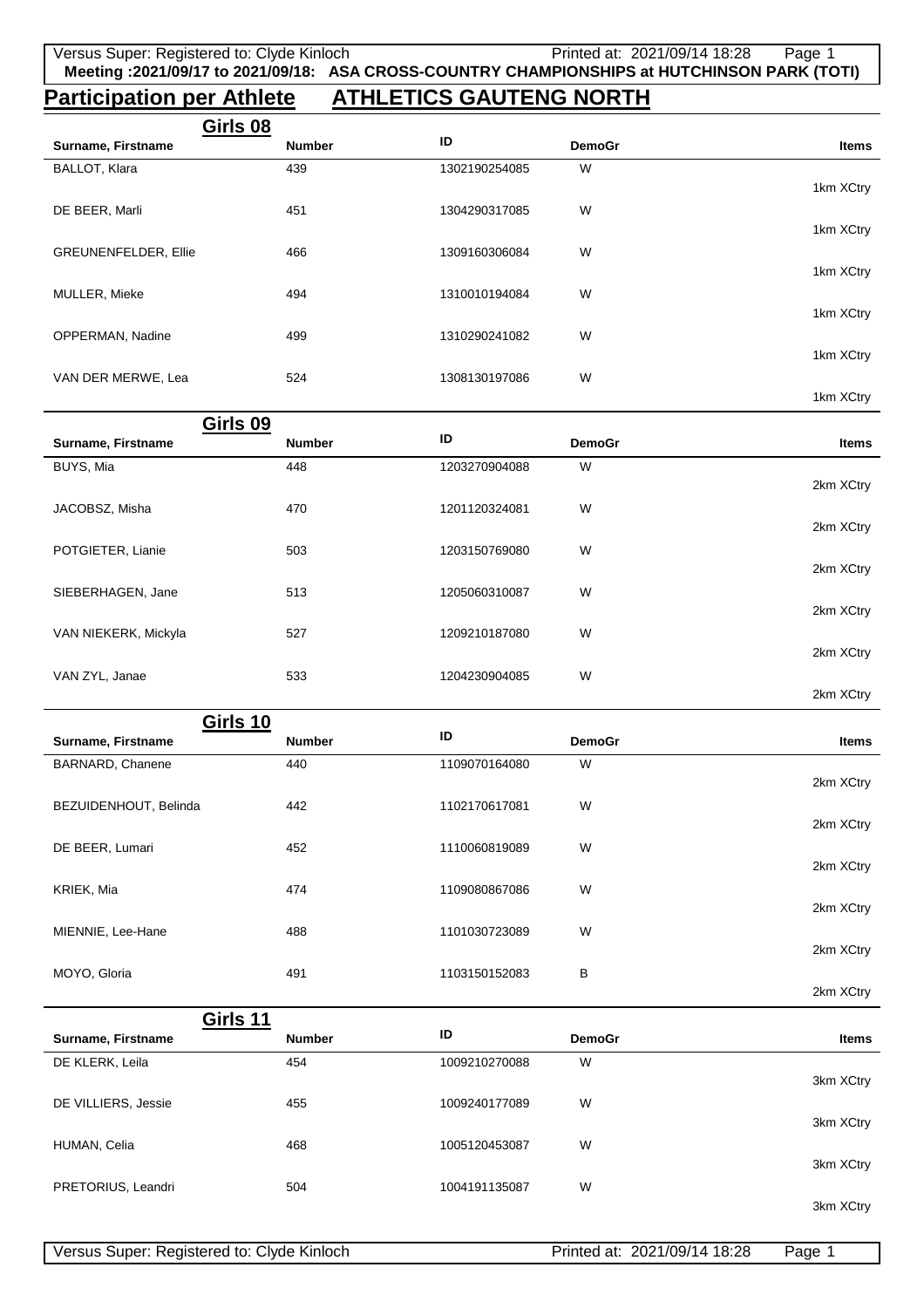# **Participation per Athlete ATHLETICS GAUTENG NORTH**

| Girls 08                    |               |               |               |           |
|-----------------------------|---------------|---------------|---------------|-----------|
| Surname, Firstname          | <b>Number</b> | ID            | <b>DemoGr</b> | Items     |
| BALLOT, Klara               | 439           | 1302190254085 | W             |           |
|                             |               |               |               | 1km XCtry |
| DE BEER, Marli              | 451           | 1304290317085 | W             |           |
|                             |               |               |               | 1km XCtry |
| <b>GREUNENFELDER, Ellie</b> | 466           | 1309160306084 | W             |           |
|                             |               |               |               | 1km XCtry |
| MULLER, Mieke               | 494           | 1310010194084 | W             |           |
|                             |               |               |               | 1km XCtry |
| <b>OPPERMAN, Nadine</b>     | 499           | 1310290241082 | W             |           |
|                             |               |               |               | 1km XCtry |
| VAN DER MERWE, Lea          | 524           | 1308130197086 | W             |           |
|                             |               |               |               | 1km XCtry |

|                      | Girls 09      |               |               |              |
|----------------------|---------------|---------------|---------------|--------------|
| Surname, Firstname   | <b>Number</b> | ID            | <b>DemoGr</b> | <b>Items</b> |
| BUYS, Mia            | 448           | 1203270904088 | W             |              |
|                      |               |               |               | 2km XCtry    |
| JACOBSZ, Misha       | 470           | 1201120324081 | W             |              |
|                      |               |               |               | 2km XCtry    |
| POTGIETER, Lianie    | 503           | 1203150769080 | W             |              |
|                      |               |               |               | 2km XCtry    |
| SIEBERHAGEN, Jane    | 513           | 1205060310087 | W             |              |
|                      |               |               |               | 2km XCtry    |
| VAN NIEKERK, Mickyla | 527           | 1209210187080 | W             |              |
|                      |               |               |               | 2km XCtry    |
| VAN ZYL, Janae       | 533           | 1204230904085 | W             |              |
|                      |               |               |               | 2km XCtry    |

| Girls 10              |               |               |               |              |
|-----------------------|---------------|---------------|---------------|--------------|
| Surname, Firstname    | <b>Number</b> | ID            | <b>DemoGr</b> | <b>Items</b> |
| BARNARD, Chanene      | 440           | 1109070164080 | W             |              |
|                       |               |               |               | 2km XCtry    |
| BEZUIDENHOUT, Belinda | 442           | 1102170617081 | W             |              |
|                       |               |               |               | 2km XCtry    |
| DE BEER, Lumari       | 452           | 1110060819089 | W             |              |
|                       |               |               |               | 2km XCtry    |
| KRIEK, Mia            | 474           | 1109080867086 | W             |              |
|                       |               |               |               | 2km XCtry    |
| MIENNIE, Lee-Hane     | 488           | 1101030723089 | W             |              |
|                       |               |               |               | 2km XCtry    |
| MOYO, Gloria          | 491           | 1103150152083 | B             |              |
|                       |               |               |               | 2km XCtry    |
| Girls 11              |               |               |               |              |
| Surname, Firstname    | <b>Number</b> | ID            | <b>DemoGr</b> | <b>Items</b> |
| DE KLERK, Leila       | 454           | 1009210270088 | W             |              |
|                       |               |               |               | 3km XCtry    |
| DE VILLIERS, Jessie   | 455           | 1009240177089 | W             |              |
|                       |               |               |               | 3km XCtry    |
| HUMAN, Celia          | 468           | 1005120453087 | W             |              |

504 1004191135087 W

3km XCtry

3km XCtry

PRETORIUS, Leandri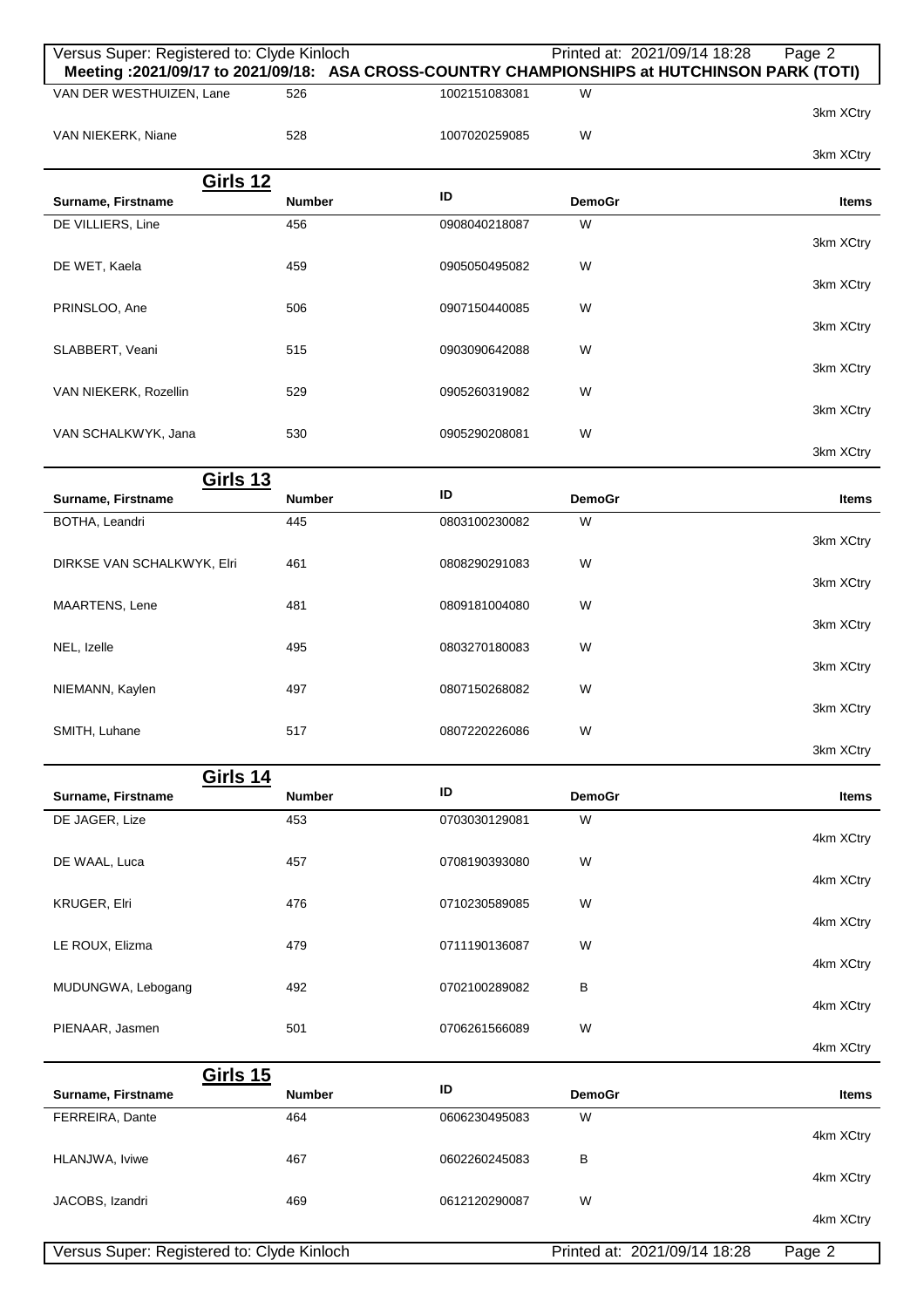| Versus Super: Registered to: Clyde Kinloch |               |               |               | Printed at: 2021/09/14 18:28<br>Page 2<br>Meeting: 2021/09/17 to 2021/09/18: ASA CROSS-COUNTRY CHAMPIONSHIPS at HUTCHINSON PARK (TOTI) |
|--------------------------------------------|---------------|---------------|---------------|----------------------------------------------------------------------------------------------------------------------------------------|
| VAN DER WESTHUIZEN, Lane                   | 526           | 1002151083081 | W             | 3km XCtry                                                                                                                              |
| VAN NIEKERK, Niane                         | 528           | 1007020259085 | W             | 3km XCtry                                                                                                                              |
| <b>Girls 12</b>                            |               |               |               |                                                                                                                                        |
| Surname, Firstname                         | <b>Number</b> | ID            | <b>DemoGr</b> | Items                                                                                                                                  |
| DE VILLIERS, Line                          | 456           | 0908040218087 | W             | 3km XCtry                                                                                                                              |
| DE WET, Kaela                              | 459           | 0905050495082 | W             | 3km XCtry                                                                                                                              |
| PRINSLOO, Ane                              | 506           | 0907150440085 | W             | 3km XCtry                                                                                                                              |
| SLABBERT, Veani                            | 515           | 0903090642088 | W             |                                                                                                                                        |
| VAN NIEKERK, Rozellin                      | 529           | 0905260319082 | W             | 3km XCtry                                                                                                                              |
| VAN SCHALKWYK, Jana                        | 530           | 0905290208081 | W             | 3km XCtry                                                                                                                              |
|                                            |               |               |               | 3km XCtry                                                                                                                              |
| <b>Girls 13</b><br>Surname, Firstname      | Number        | ID            | <b>DemoGr</b> | Items                                                                                                                                  |
| BOTHA, Leandri                             | 445           | 0803100230082 | W             | 3km XCtry                                                                                                                              |
| DIRKSE VAN SCHALKWYK, Elri                 | 461           | 0808290291083 | W             | 3km XCtry                                                                                                                              |
| MAARTENS, Lene                             | 481           | 0809181004080 | W             | 3km XCtry                                                                                                                              |
| NEL, Izelle                                | 495           | 0803270180083 | W             |                                                                                                                                        |
| NIEMANN, Kaylen                            | 497           | 0807150268082 | W             | 3km XCtry                                                                                                                              |
| SMITH, Luhane                              | 517           | 0807220226086 | W             | 3km XCtry                                                                                                                              |
|                                            |               |               |               | 3km XCtry                                                                                                                              |
| <b>Girls 14</b><br>Surname, Firstname      | <b>Number</b> | ID            | <b>DemoGr</b> | <b>Items</b>                                                                                                                           |
| DE JAGER, Lize                             | 453           | 0703030129081 | W             |                                                                                                                                        |
| DE WAAL, Luca                              | 457           | 0708190393080 | W             | 4km XCtry                                                                                                                              |
| KRUGER, Elri                               | 476           | 0710230589085 | W             | 4km XCtry                                                                                                                              |
|                                            |               |               |               | 4km XCtry                                                                                                                              |
| LE ROUX, Elizma                            | 479           | 0711190136087 | W             | 4km XCtry                                                                                                                              |
| MUDUNGWA, Lebogang                         | 492           | 0702100289082 | В             | 4km XCtry                                                                                                                              |
| PIENAAR, Jasmen                            | 501           | 0706261566089 | W             | 4km XCtry                                                                                                                              |
| <b>Girls 15</b>                            |               |               |               |                                                                                                                                        |
| Surname, Firstname                         | <b>Number</b> | ID            | <b>DemoGr</b> | Items                                                                                                                                  |
| FERREIRA, Dante                            | 464           | 0606230495083 | W             | 4km XCtry                                                                                                                              |
| HLANJWA, Iviwe                             | 467           | 0602260245083 | в             | 4km XCtry                                                                                                                              |
| JACOBS, Izandri                            | 469           | 0612120290087 | W             | 4km XCtry                                                                                                                              |
| Versus Super: Registered to: Clyde Kinloch |               |               |               | Printed at: 2021/09/14 18:28<br>Page 2                                                                                                 |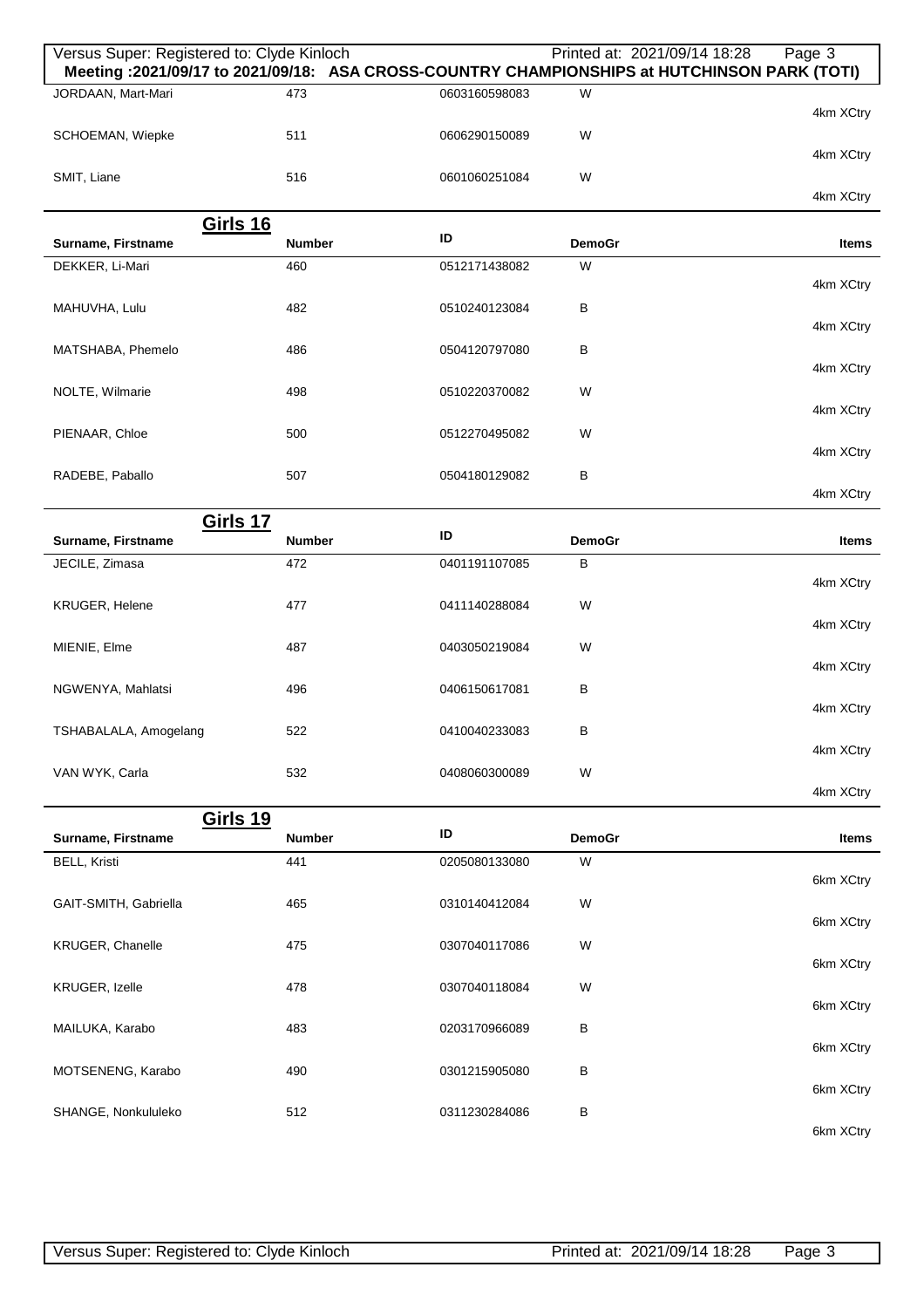| Versus Super: Registered to: Clyde Kinloch<br>Meeting : 2021/09/17 to 2021/09/18: ASA CROSS-COUNTRY CHAMPIONSHIPS at HUTCHINSON PARK (TOTI) |               |               | Printed at: 2021/09/14 18:28 | Page 3       |
|---------------------------------------------------------------------------------------------------------------------------------------------|---------------|---------------|------------------------------|--------------|
| JORDAAN, Mart-Mari                                                                                                                          | 473           | 0603160598083 | W                            | 4km XCtry    |
| SCHOEMAN, Wiepke                                                                                                                            | 511           | 0606290150089 | W                            | 4km XCtry    |
| SMIT, Liane                                                                                                                                 | 516           | 0601060251084 | W                            | 4km XCtry    |
|                                                                                                                                             |               |               |                              |              |
| <b>Girls 16</b><br>Surname, Firstname                                                                                                       | <b>Number</b> | ID            | <b>DemoGr</b>                | <b>Items</b> |
| DEKKER, Li-Mari                                                                                                                             | 460           | 0512171438082 | W                            |              |
| MAHUVHA, Lulu                                                                                                                               | 482           | 0510240123084 | B                            | 4km XCtry    |
|                                                                                                                                             |               |               |                              | 4km XCtry    |
| MATSHABA, Phemelo                                                                                                                           | 486           | 0504120797080 | B                            | 4km XCtry    |
| NOLTE, Wilmarie                                                                                                                             | 498           | 0510220370082 | W                            |              |
|                                                                                                                                             |               |               |                              | 4km XCtry    |
| PIENAAR, Chloe                                                                                                                              | 500           | 0512270495082 | W                            | 4km XCtry    |
| RADEBE, Paballo                                                                                                                             | 507           | 0504180129082 | B                            |              |
|                                                                                                                                             |               |               |                              | 4km XCtry    |
| <b>Girls 17</b>                                                                                                                             | <b>Number</b> | ID            | <b>DemoGr</b>                | <b>Items</b> |
| Surname, Firstname<br>JECILE, Zimasa                                                                                                        | 472           | 0401191107085 | B                            |              |
|                                                                                                                                             |               |               |                              | 4km XCtry    |
| <b>KRUGER, Helene</b>                                                                                                                       | 477           | 0411140288084 | W                            |              |
| MIENIE, Elme                                                                                                                                | 487           | 0403050219084 | W                            | 4km XCtry    |
|                                                                                                                                             |               |               |                              | 4km XCtry    |
| NGWENYA, Mahlatsi                                                                                                                           | 496           | 0406150617081 | В                            | 4km XCtry    |
| TSHABALALA, Amogelang                                                                                                                       | 522           | 0410040233083 | в                            |              |
|                                                                                                                                             |               |               |                              | 4km XCtry    |
| VAN WYK, Carla                                                                                                                              | 532           | 0408060300089 | W                            | 4km XCtry    |
| <b>Girls 19</b>                                                                                                                             |               |               |                              |              |
| Surname, Firstname                                                                                                                          | <b>Number</b> | ID            | <b>DemoGr</b>                | <b>Items</b> |
| <b>BELL, Kristi</b>                                                                                                                         | 441           | 0205080133080 | W                            | 6km XCtry    |
| GAIT-SMITH, Gabriella                                                                                                                       | 465           | 0310140412084 | W                            |              |
|                                                                                                                                             |               |               |                              | 6km XCtry    |
| KRUGER, Chanelle                                                                                                                            | 475           | 0307040117086 | W                            | 6km XCtry    |
| KRUGER, Izelle                                                                                                                              | 478           | 0307040118084 | W                            |              |
|                                                                                                                                             |               |               |                              | 6km XCtry    |
| MAILUKA, Karabo                                                                                                                             | 483           | 0203170966089 | В                            | 6km XCtry    |
| MOTSENENG, Karabo                                                                                                                           | 490           | 0301215905080 | B                            |              |
|                                                                                                                                             |               | 0311230284086 |                              | 6km XCtry    |
| SHANGE, Nonkululeko                                                                                                                         | 512           |               | B                            | 6km XCtry    |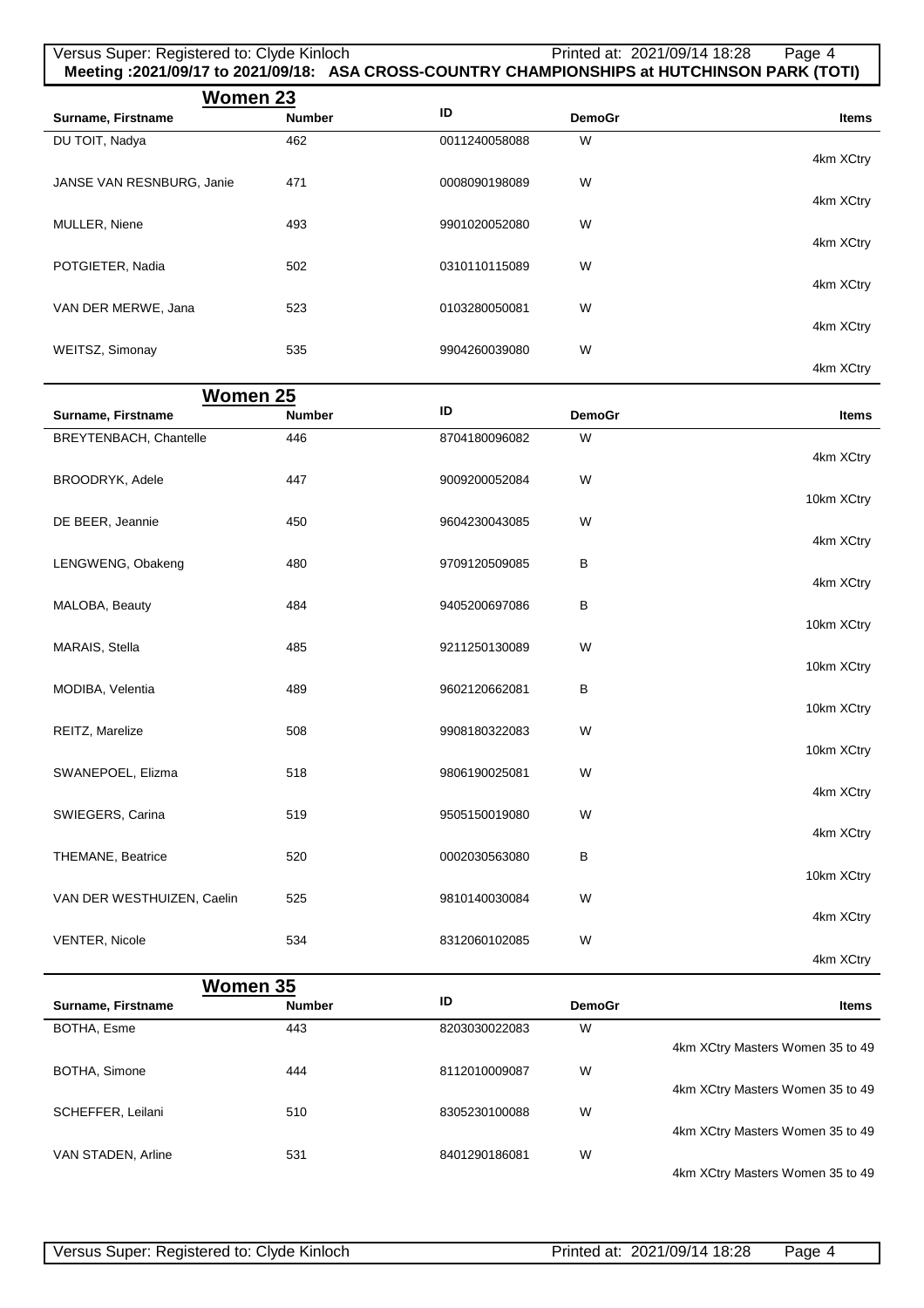## Versus Super: Registered to: Clyde Kinloch Printed at: 2021/09/14 18:28 Page 4 **Meeting :2021/09/17 to 2021/09/18: ASA CROSS-COUNTRY CHAMPIONSHIPS at HUTCHINSON PARK (TOTI)**

| Women 23                  |               |               |               |              |
|---------------------------|---------------|---------------|---------------|--------------|
| Surname, Firstname        | <b>Number</b> | ID            | <b>DemoGr</b> | <b>Items</b> |
| DU TOIT, Nadya            | 462           | 0011240058088 | W             |              |
|                           |               |               |               | 4km XCtry    |
| JANSE VAN RESNBURG, Janie | 471           | 0008090198089 | W             |              |
|                           |               |               |               | 4km XCtry    |
| <b>MULLER, Niene</b>      | 493           | 9901020052080 | W             |              |
|                           |               |               |               | 4km XCtry    |
| POTGIETER, Nadia          | 502           | 0310110115089 | W             |              |
|                           |               |               |               | 4km XCtry    |
| VAN DER MERWE, Jana       | 523           | 0103280050081 | W             |              |
|                           |               |               |               | 4km XCtry    |
| WEITSZ, Simonay           | 535           | 9904260039080 | W             |              |
|                           |               |               |               | 4km XCtry    |

| Women 25                       |               |               |               |                                  |
|--------------------------------|---------------|---------------|---------------|----------------------------------|
| Surname, Firstname             | <b>Number</b> | ID            | <b>DemoGr</b> | <b>Items</b>                     |
| BREYTENBACH, Chantelle         | 446           | 8704180096082 | W             |                                  |
|                                |               |               |               | 4km XCtry                        |
| <b>BROODRYK, Adele</b>         | 447           | 9009200052084 | W             | 10km XCtry                       |
| DE BEER, Jeannie               | 450           | 9604230043085 | W             |                                  |
|                                |               |               |               | 4km XCtry                        |
| LENGWENG, Obakeng              | 480           | 9709120509085 | В             |                                  |
|                                |               |               |               | 4km XCtry                        |
| MALOBA, Beauty                 | 484           | 9405200697086 | B             | 10km XCtry                       |
| MARAIS, Stella                 | 485           | 9211250130089 | W             |                                  |
|                                |               |               |               | 10km XCtry                       |
| MODIBA, Velentia               | 489           | 9602120662081 | B             |                                  |
|                                |               |               |               | 10km XCtry                       |
| REITZ, Marelize                | 508           | 9908180322083 | W             | 10km XCtry                       |
| SWANEPOEL, Elizma              | 518           | 9806190025081 | W             |                                  |
|                                |               |               |               | 4km XCtry                        |
| SWIEGERS, Carina               | 519           | 9505150019080 | W             |                                  |
|                                |               |               |               | 4km XCtry                        |
| <b>THEMANE, Beatrice</b>       | 520           | 0002030563080 | B             | 10km XCtry                       |
| VAN DER WESTHUIZEN, Caelin     | 525           | 9810140030084 | W             |                                  |
|                                |               |               |               | 4km XCtry                        |
| <b>VENTER, Nicole</b>          | 534           | 8312060102085 | W             |                                  |
|                                |               |               |               | 4km XCtry                        |
| Women 35<br>Surname, Firstname | <b>Number</b> | ID            | <b>DemoGr</b> | <b>Items</b>                     |
| BOTHA, Esme                    | 443           | 8203030022083 | W             |                                  |
|                                |               |               |               | 4km XCtry Masters Women 35 to 49 |
| BOTHA, Simone                  | 444           | 8112010009087 | W             |                                  |
|                                |               |               |               | 4km XCtry Masters Women 35 to 49 |
| SCHEFFER, Leilani              | 510           | 8305230100088 | W             | 4km XCtry Masters Women 35 to 49 |
| VAN STADEN, Arline             | 531           | 8401290186081 | W             |                                  |

4km XCtry Masters Women 35 to 49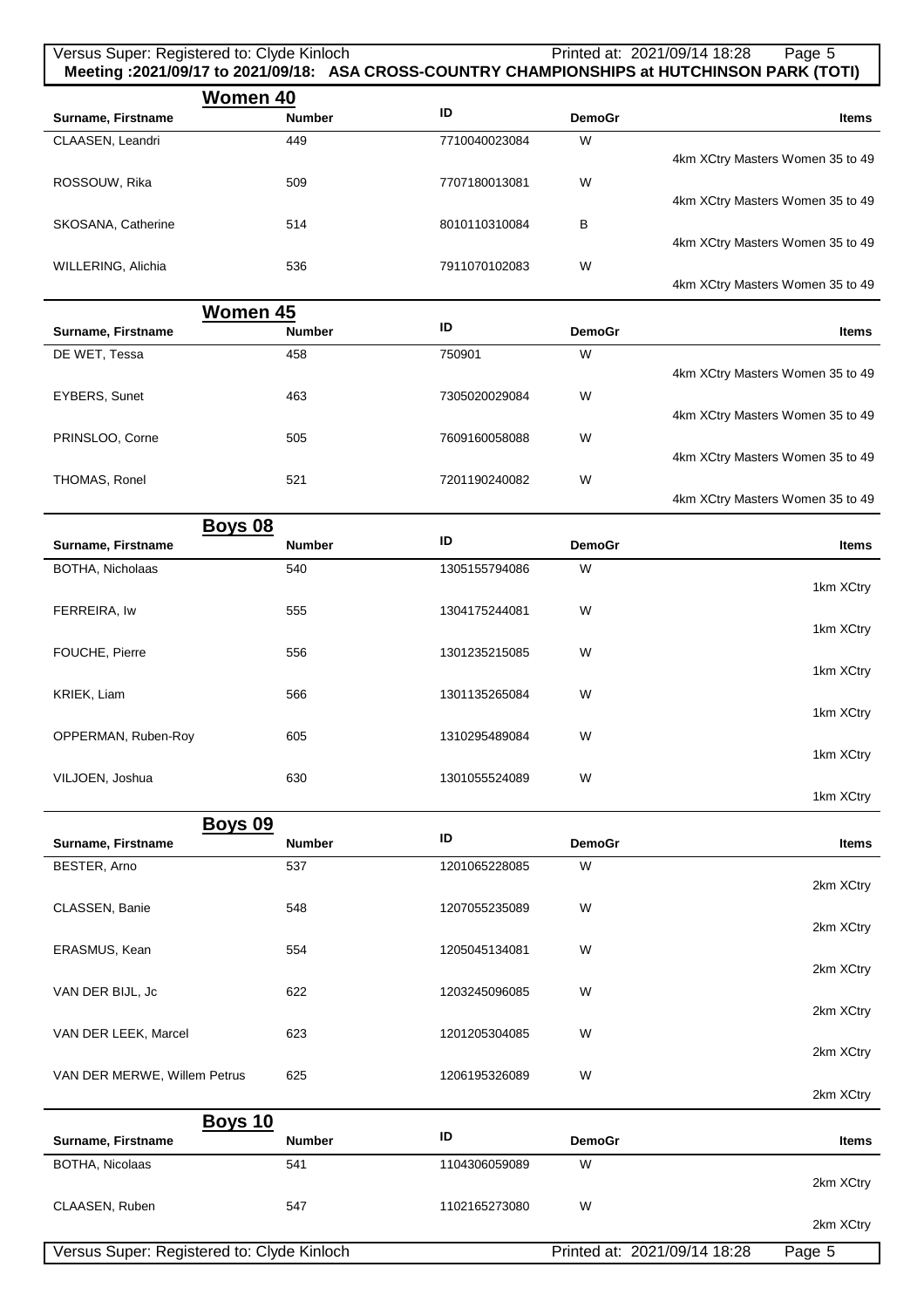#### Versus Super: Registered to: Clyde Kinloch Printed at: 2021/09/14 18:28 Page 5 **Meeting :2021/09/17 to 2021/09/18: ASA CROSS-COUNTRY CHAMPIONSHIPS at HUTCHINSON PARK (TOTI) Women 40 Surname, Firstname ID DemoGraphic identity in the Mumber ID DemoGraphic idens** CLAASEN, Leandri 4km XCtry Masters Women 35 to 49 449 7710040023084 W

| Women 45                                        |                                  |
|-------------------------------------------------|----------------------------------|
|                                                 | 4km XCtry Masters Women 35 to 49 |
| W<br>WILLERING, Alichia<br>536<br>7911070102083 |                                  |
|                                                 | 4km XCtry Masters Women 35 to 49 |
| SKOSANA, Catherine<br>8010110310084<br>в<br>514 |                                  |
| W<br>ROSSOUW, Rika<br>7707180013081<br>509      | 4km XCtry Masters Women 35 to 49 |

|                                  |               |               | טדי ווסווטזי  |                    |
|----------------------------------|---------------|---------------|---------------|--------------------|
| <b>Items</b>                     | <b>DemoGr</b> | ID            | <b>Number</b> | Surname, Firstname |
|                                  | W             | 750901        | 458           | DE WET, Tessa      |
| 4km XCtry Masters Women 35 to 49 |               |               |               |                    |
|                                  | W             | 7305020029084 | 463           | EYBERS, Sunet      |
| 4km XCtry Masters Women 35 to 49 |               |               |               |                    |
|                                  | W             | 7609160058088 | 505           | PRINSLOO, Corne    |
| 4km XCtry Masters Women 35 to 49 |               |               |               |                    |
|                                  | W             | 7201190240082 | 521           | THOMAS, Ronel      |
| 4km XCtry Masters Women 35 to 49 |               |               |               |                    |

|                         | <b>Boys 08</b> |               |               |              |
|-------------------------|----------------|---------------|---------------|--------------|
| Surname, Firstname      | <b>Number</b>  | ID            | <b>DemoGr</b> | <b>Items</b> |
| <b>BOTHA, Nicholaas</b> | 540            | 1305155794086 | W             |              |
|                         |                |               |               | 1km XCtry    |
| FERREIRA, Iw            | 555            | 1304175244081 | W             |              |
|                         |                |               |               | 1km XCtry    |
| FOUCHE, Pierre          | 556            | 1301235215085 | W             |              |
|                         |                |               |               | 1km XCtry    |
| KRIEK, Liam             | 566            | 1301135265084 | W             |              |
|                         |                |               |               | 1km XCtry    |
| OPPERMAN, Ruben-Roy     | 605            | 1310295489084 | W             |              |
|                         |                |               |               | 1km XCtry    |
| VILJOEN, Joshua         | 630            | 1301055524089 | W             |              |

1km XCtry

| <b>Boys 09</b>                             |               |               |               |                              |              |
|--------------------------------------------|---------------|---------------|---------------|------------------------------|--------------|
| Surname, Firstname                         | <b>Number</b> | ID            | <b>DemoGr</b> |                              | <b>Items</b> |
| BESTER, Arno                               | 537           | 1201065228085 | W             |                              |              |
|                                            |               |               |               |                              | 2km XCtry    |
| CLASSEN, Banie                             | 548           | 1207055235089 | W             |                              |              |
|                                            |               |               |               |                              | 2km XCtry    |
| ERASMUS, Kean                              | 554           | 1205045134081 | W             |                              |              |
|                                            |               |               |               |                              | 2km XCtry    |
| VAN DER BIJL, Jc                           | 622           | 1203245096085 | W             |                              |              |
|                                            |               |               |               |                              | 2km XCtry    |
| VAN DER LEEK, Marcel                       | 623           | 1201205304085 | W             |                              |              |
|                                            |               |               |               |                              | 2km XCtry    |
| VAN DER MERWE, Willem Petrus               | 625           | 1206195326089 | W             |                              |              |
|                                            |               |               |               |                              | 2km XCtry    |
| <b>Boys 10</b>                             |               |               |               |                              |              |
| Surname, Firstname                         | <b>Number</b> | ID            | <b>DemoGr</b> |                              | <b>Items</b> |
| BOTHA, Nicolaas                            | 541           | 1104306059089 | W             |                              |              |
|                                            |               |               |               |                              | 2km XCtry    |
| CLAASEN, Ruben                             | 547           | 1102165273080 | W             |                              |              |
|                                            |               |               |               |                              | 2km XCtry    |
| Versus Super: Registered to: Clyde Kinloch |               |               |               | Printed at: 2021/09/14 18:28 | Page 5       |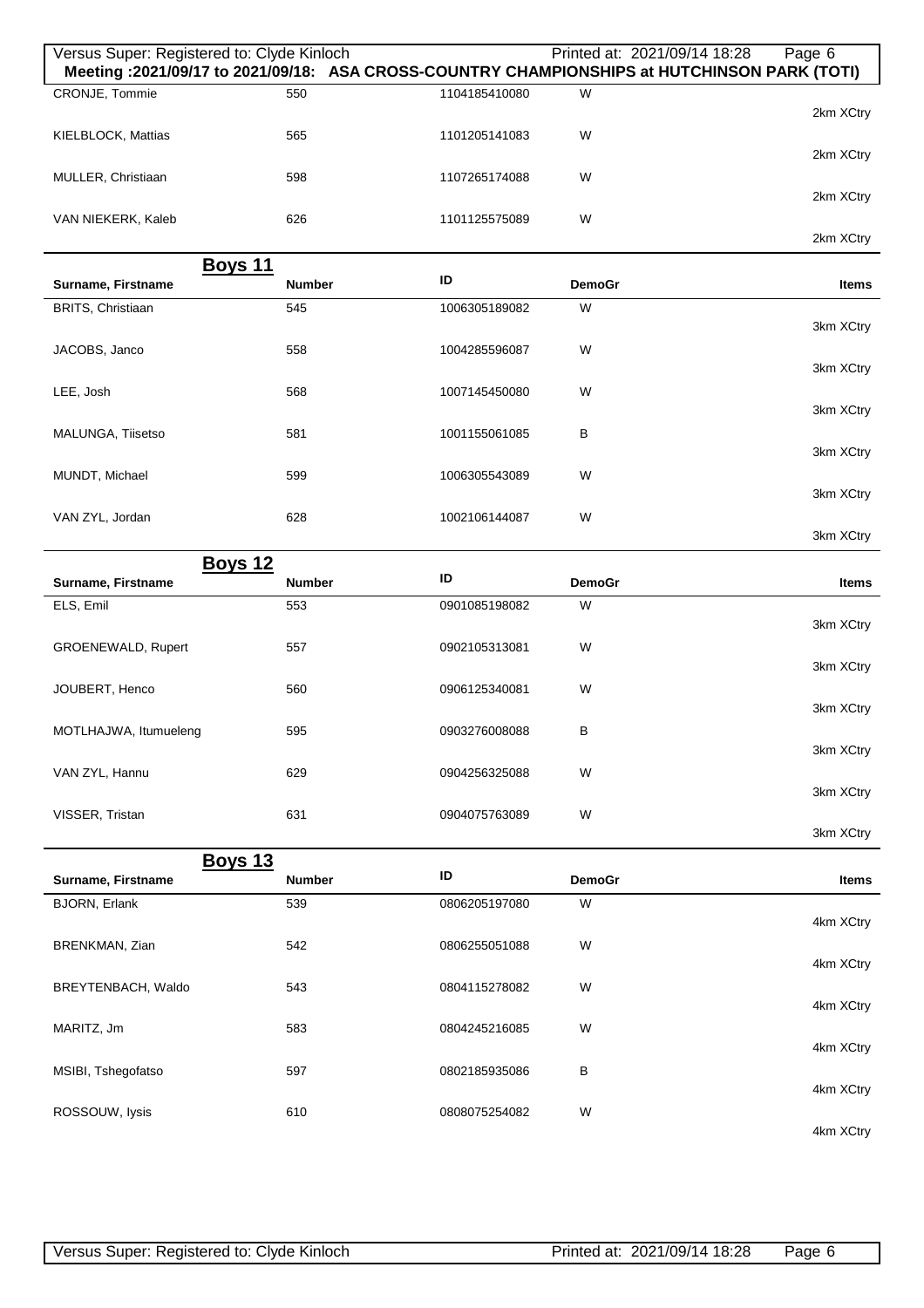| Versus Super: Registered to: Clyde Kinloch |               |               |               | Printed at: 2021/09/14 18:28<br>Page 6<br>Meeting: 2021/09/17 to 2021/09/18: ASA CROSS-COUNTRY CHAMPIONSHIPS at HUTCHINSON PARK (TOTI) |
|--------------------------------------------|---------------|---------------|---------------|----------------------------------------------------------------------------------------------------------------------------------------|
| CRONJE, Tommie                             | 550           | 1104185410080 | W             | 2km XCtry                                                                                                                              |
| KIELBLOCK, Mattias                         | 565           | 1101205141083 | W             |                                                                                                                                        |
| MULLER, Christiaan                         | 598           | 1107265174088 | W             | 2km XCtry                                                                                                                              |
| VAN NIEKERK, Kaleb                         | 626           | 1101125575089 | W             | 2km XCtry                                                                                                                              |
|                                            |               |               |               | 2km XCtry                                                                                                                              |
| <b>Boys 11</b><br>Surname, Firstname       | <b>Number</b> | ID            | <b>DemoGr</b> | <b>Items</b>                                                                                                                           |
| BRITS, Christiaan                          | 545           | 1006305189082 | W             |                                                                                                                                        |
| JACOBS, Janco                              | 558           | 1004285596087 | W             | 3km XCtry                                                                                                                              |
|                                            |               |               |               | 3km XCtry                                                                                                                              |
| LEE, Josh                                  | 568           | 1007145450080 | W             | 3km XCtry                                                                                                                              |
| MALUNGA, Tiisetso                          | 581           | 1001155061085 | в             |                                                                                                                                        |
|                                            |               |               |               | 3km XCtry                                                                                                                              |
| MUNDT, Michael                             | 599           | 1006305543089 | W             | 3km XCtry                                                                                                                              |
| VAN ZYL, Jordan                            | 628           | 1002106144087 | W             |                                                                                                                                        |
|                                            |               |               |               | 3km XCtry                                                                                                                              |
| <b>Boys 12</b><br>Surname, Firstname       | <b>Number</b> | ID            | <b>DemoGr</b> | Items                                                                                                                                  |
| ELS, Emil                                  | 553           | 0901085198082 | W             |                                                                                                                                        |
| GROENEWALD, Rupert                         | 557           | 0902105313081 | W             | 3km XCtry                                                                                                                              |
|                                            |               |               |               | 3km XCtry                                                                                                                              |
| JOUBERT, Henco                             | 560           | 0906125340081 | W             | 3km XCtry                                                                                                                              |
| MOTLHAJWA, Itumueleng                      | 595           | 0903276008088 | В             |                                                                                                                                        |
|                                            |               |               |               | 3km XCtry                                                                                                                              |
| VAN ZYL, Hannu                             | 629           | 0904256325088 | W             | 3km XCtry                                                                                                                              |
| VISSER, Tristan                            | 631           | 0904075763089 | W             |                                                                                                                                        |
|                                            |               |               |               | 3km XCtry                                                                                                                              |
| <b>Boys 13</b><br>Surname, Firstname       | <b>Number</b> | ID            | <b>DemoGr</b> | Items                                                                                                                                  |
| <b>BJORN, Erlank</b>                       | 539           | 0806205197080 | W             |                                                                                                                                        |
|                                            |               |               |               | 4km XCtry                                                                                                                              |
| BRENKMAN, Zian                             | 542           | 0806255051088 | W             | 4km XCtry                                                                                                                              |
| BREYTENBACH, Waldo                         | 543           | 0804115278082 | W             |                                                                                                                                        |
| MARITZ, Jm                                 | 583           | 0804245216085 | W             | 4km XCtry                                                                                                                              |
|                                            |               |               |               | 4km XCtry                                                                                                                              |
| MSIBI, Tshegofatso                         | 597           | 0802185935086 | В             | 4km XCtry                                                                                                                              |
| ROSSOUW, lysis                             | 610           | 0808075254082 | W             |                                                                                                                                        |
|                                            |               |               |               | 4km XCtry                                                                                                                              |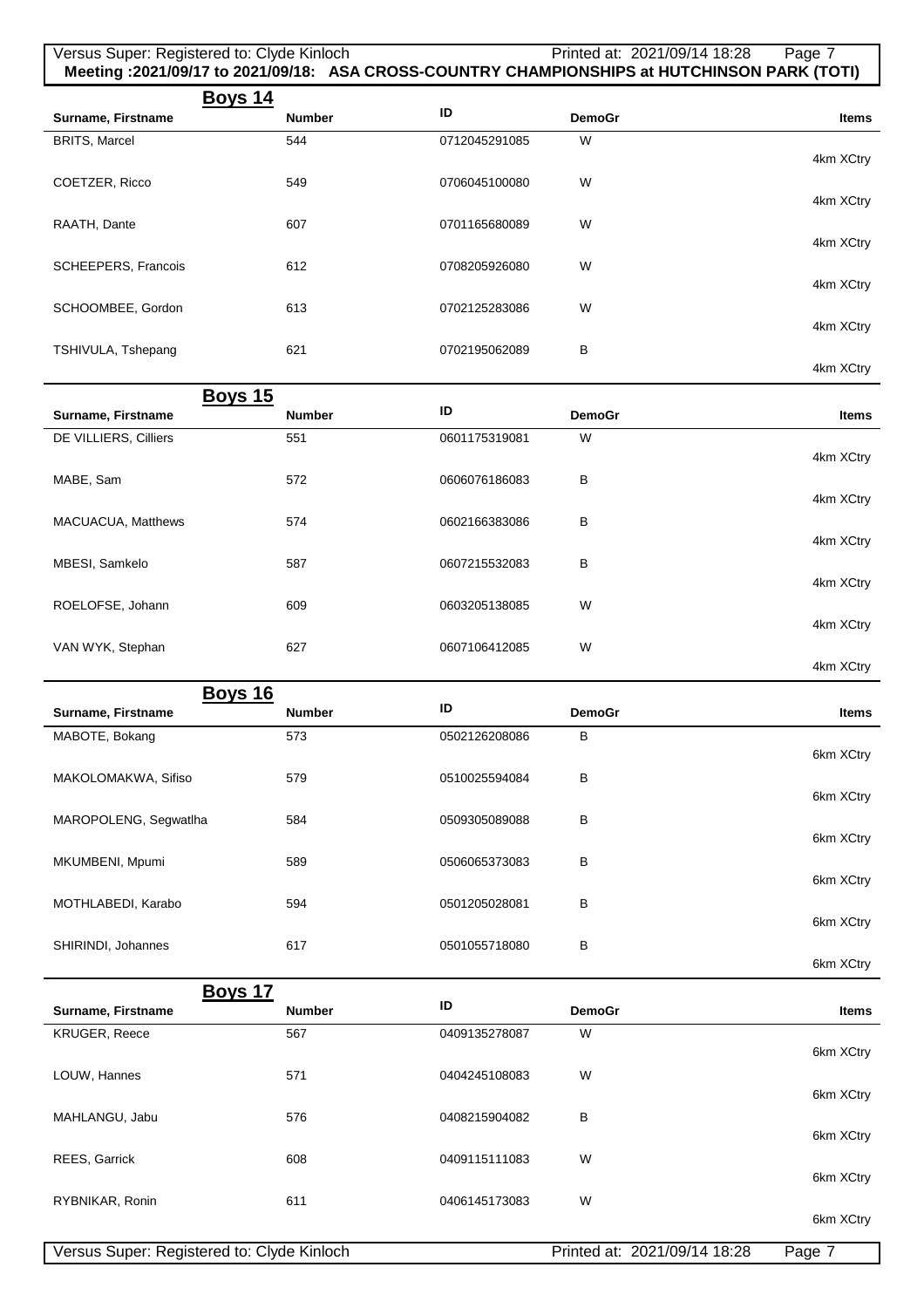| Versus Super: Registered to: Clyde Kinloch |               |               | Printed at: 2021/09/14 18:28<br>Meeting :2021/09/17 to 2021/09/18: ASA CROSS-COUNTRY CHAMPIONSHIPS at HUTCHINSON PARK (TOTI) | Page 7              |
|--------------------------------------------|---------------|---------------|------------------------------------------------------------------------------------------------------------------------------|---------------------|
| <u>Boys 14</u><br>Surname, Firstname       | <b>Number</b> | ID            | <b>DemoGr</b>                                                                                                                | <b>Items</b>        |
| <b>BRITS, Marcel</b>                       | 544           | 0712045291085 | W                                                                                                                            |                     |
|                                            |               |               |                                                                                                                              | 4km XCtry           |
| COETZER, Ricco                             | 549           | 0706045100080 | W                                                                                                                            | 4km XCtry           |
| RAATH, Dante                               | 607           | 0701165680089 | W                                                                                                                            |                     |
|                                            |               |               |                                                                                                                              | 4km XCtry           |
| <b>SCHEEPERS, Francois</b>                 | 612           | 0708205926080 | W                                                                                                                            | 4km XCtry           |
| SCHOOMBEE, Gordon                          | 613           | 0702125283086 | W                                                                                                                            |                     |
|                                            |               |               |                                                                                                                              | 4km XCtry           |
| TSHIVULA, Tshepang                         | 621           | 0702195062089 | в                                                                                                                            | 4km XCtry           |
| <b>Boys 15</b>                             |               |               |                                                                                                                              |                     |
| Surname, Firstname                         | <b>Number</b> | ID            | <b>DemoGr</b>                                                                                                                | <b>Items</b>        |
| DE VILLIERS, Cilliers                      | 551           | 0601175319081 | W                                                                                                                            | 4km XCtry           |
| MABE, Sam                                  | 572           | 0606076186083 | В                                                                                                                            |                     |
|                                            |               |               |                                                                                                                              | 4km XCtry           |
| MACUACUA, Matthews                         | 574           | 0602166383086 | B                                                                                                                            | 4km XCtry           |
| MBESI, Samkelo                             | 587           | 0607215532083 | В                                                                                                                            |                     |
|                                            |               |               |                                                                                                                              | 4km XCtry           |
| ROELOFSE, Johann                           | 609           | 0603205138085 | W                                                                                                                            | 4km XCtry           |
| VAN WYK, Stephan                           | 627           | 0607106412085 | W                                                                                                                            |                     |
|                                            |               |               |                                                                                                                              | 4km XCtry           |
| <b>Boys 16</b><br>Surname, Firstname       | <b>Number</b> | ID            | <b>DemoGr</b>                                                                                                                | <b>Items</b>        |
| MABOTE, Bokang                             | 573           | 0502126208086 | В                                                                                                                            |                     |
| MAKOLOMAKWA, Sifiso                        | 579           | 0510025594084 | В                                                                                                                            | 6km XCtry           |
|                                            |               |               |                                                                                                                              | 6km XCtry           |
| MAROPOLENG, Segwatlha                      | 584           | 0509305089088 | в                                                                                                                            | 6km XCtry           |
| MKUMBENI, Mpumi                            | 589           | 0506065373083 | В                                                                                                                            |                     |
|                                            |               |               |                                                                                                                              | 6km XCtry           |
| MOTHLABEDI, Karabo                         | 594           | 0501205028081 | В                                                                                                                            | 6km XCtry           |
| SHIRINDI, Johannes                         | 617           | 0501055718080 | В                                                                                                                            |                     |
|                                            |               |               |                                                                                                                              | 6km XCtry           |
| <b>Boys 17</b>                             | <b>Number</b> | ID            | <b>DemoGr</b>                                                                                                                | <b>Items</b>        |
| Surname, Firstname<br>KRUGER, Reece        | 567           | 0409135278087 | W                                                                                                                            |                     |
|                                            |               |               |                                                                                                                              | 6km XCtry           |
| LOUW, Hannes                               | 571           | 0404245108083 | W                                                                                                                            |                     |
| MAHLANGU, Jabu                             | 576           | 0408215904082 | в                                                                                                                            | 6km XCtry           |
|                                            |               |               |                                                                                                                              | 6km XCtry           |
| REES, Garrick                              | 608           | 0409115111083 | W                                                                                                                            | 6km XCtry           |
| RYBNIKAR, Ronin                            | 611           | 0406145173083 | W                                                                                                                            |                     |
|                                            |               |               |                                                                                                                              | 6km XCtry           |
| Versus Super: Registered to: Clyde Kinloch |               |               | Printed at: 2021/09/14 18:28                                                                                                 | Page $\overline{7}$ |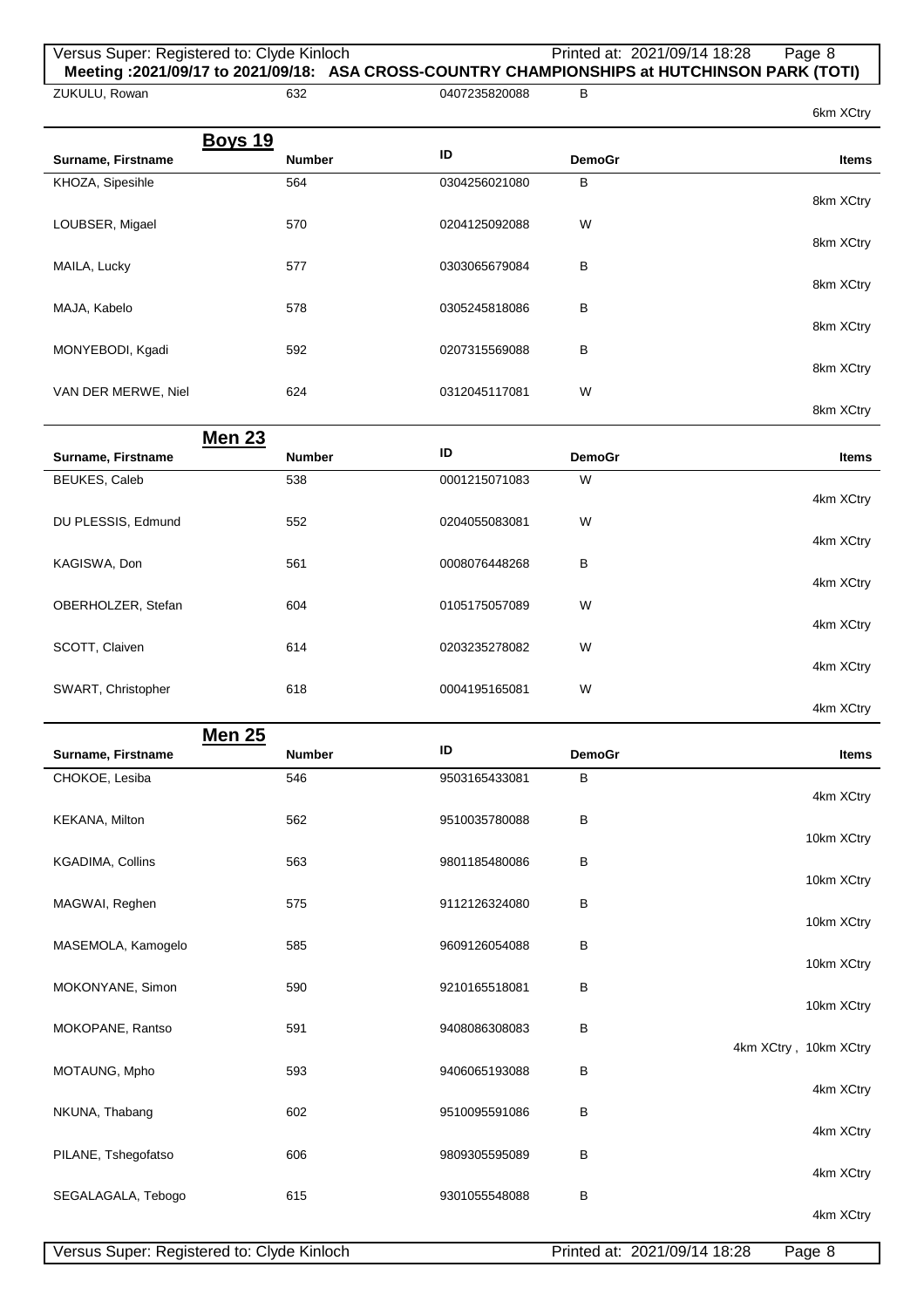## Versus Super: Registered to: Clyde Kinloch Printed at: 2021/09/14 18:28 Page 8 **Meeting :2021/09/17 to 2021/09/18: ASA CROSS-COUNTRY CHAMPIONSHIPS at HUTCHINSON PARK (TOTI)**

| ZUKULU, Rowan       | 632           | 0407235820088 | в             |              |
|---------------------|---------------|---------------|---------------|--------------|
|                     |               |               |               | 6km XCtry    |
| <b>Boys 19</b>      |               |               |               |              |
| Surname, Firstname  | <b>Number</b> | ID            | <b>DemoGr</b> | <b>Items</b> |
| KHOZA, Sipesihle    | 564           | 0304256021080 | в             |              |
|                     |               |               |               | 8km XCtry    |
| LOUBSER, Migael     | 570           | 0204125092088 | W             |              |
|                     |               |               |               | 8km XCtry    |
| MAILA, Lucky        | 577           | 0303065679084 | B             |              |
|                     |               |               |               | 8km XCtry    |
| MAJA, Kabelo        | 578           | 0305245818086 | В             | 8km XCtry    |
|                     |               |               |               |              |
| MONYEBODI, Kgadi    | 592           | 0207315569088 | в             | 8km XCtry    |
| VAN DER MERWE, Niel | 624           | 0312045117081 | W             |              |
|                     |               |               |               | 8km XCtry    |
| <b>Men 23</b>       |               |               |               |              |
| Surname, Firstname  | <b>Number</b> | ID            | <b>DemoGr</b> |              |
|                     |               |               |               |              |
|                     |               |               |               | <b>Items</b> |
| BEUKES, Caleb       | 538           | 0001215071083 | W             |              |
|                     | 552           | 0204055083081 | W             | 4km XCtry    |
| DU PLESSIS, Edmund  |               |               |               | 4km XCtry    |
| KAGISWA, Don        | 561           | 0008076448268 | B             |              |
|                     |               |               |               | 4km XCtry    |
| OBERHOLZER, Stefan  | 604           | 0105175057089 | W             |              |
|                     |               |               |               | 4km XCtry    |
| SCOTT, Claiven      | 614           | 0203235278082 | W             |              |
|                     |               |               |               | 4km XCtry    |
| SWART, Christopher  | 618           | 0004195165081 | W             |              |
| <b>Men 25</b>       |               |               |               | 4km XCtry    |

| Surname, Firstname      | <b>Number</b> | ID            | <b>DemoGr</b> | <b>Items</b>          |
|-------------------------|---------------|---------------|---------------|-----------------------|
| CHOKOE, Lesiba          | 546           | 9503165433081 | B             | 4km XCtry             |
| KEKANA, Milton          | 562           | 9510035780088 | $\, {\bf B}$  | 10km XCtry            |
| <b>KGADIMA, Collins</b> | 563           | 9801185480086 | В             | 10km XCtry            |
| MAGWAI, Reghen          | 575           | 9112126324080 | B             | 10km XCtry            |
| MASEMOLA, Kamogelo      | 585           | 9609126054088 | B             | 10km XCtry            |
| MOKONYANE, Simon        | 590           | 9210165518081 | B             | 10km XCtry            |
| MOKOPANE, Rantso        | 591           | 9408086308083 | $\sf B$       | 4km XCtry, 10km XCtry |
| MOTAUNG, Mpho           | 593           | 9406065193088 | B             |                       |
| NKUNA, Thabang          | 602           | 9510095591086 | В             | 4km XCtry             |
| PILANE, Tshegofatso     | 606           | 9809305595089 | B             | 4km XCtry             |
| SEGALAGALA, Tebogo      | 615           | 9301055548088 | B             | 4km XCtry             |
|                         |               |               |               | 4km XCtry             |